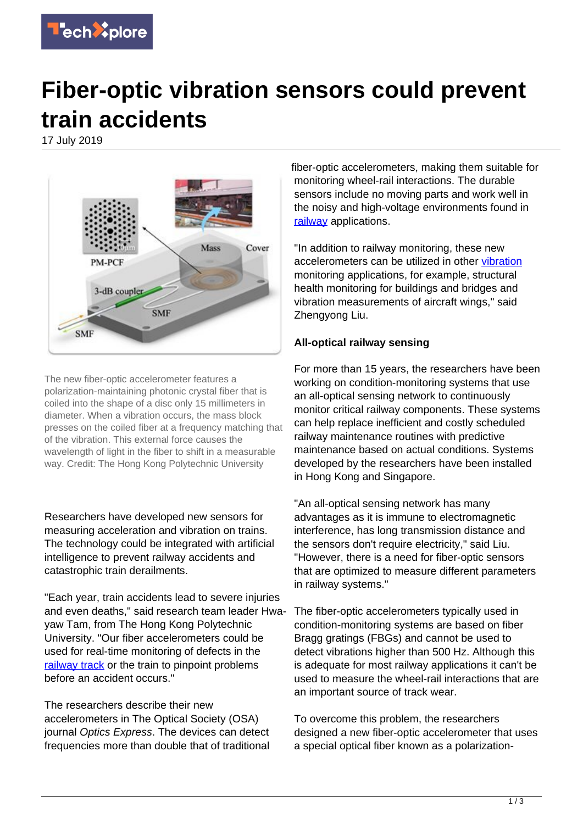

## **Fiber-optic vibration sensors could prevent train accidents**

17 July 2019



The new fiber-optic accelerometer features a polarization-maintaining photonic crystal fiber that is coiled into the shape of a disc only 15 millimeters in diameter. When a vibration occurs, the mass block presses on the coiled fiber at a frequency matching that of the vibration. This external force causes the wavelength of light in the fiber to shift in a measurable way. Credit: The Hong Kong Polytechnic University

Researchers have developed new sensors for measuring acceleration and vibration on trains. The technology could be integrated with artificial intelligence to prevent railway accidents and catastrophic train derailments.

"Each year, train accidents lead to severe injuries and even deaths," said research team leader Hwayaw Tam, from The Hong Kong Polytechnic University. "Our fiber accelerometers could be used for real-time monitoring of defects in the [railway track](https://techxplore.com/tags/railway+track/) or the train to pinpoint problems before an accident occurs."

The researchers describe their new accelerometers in The Optical Society (OSA) journal Optics Express. The devices can detect frequencies more than double that of traditional fiber-optic accelerometers, making them suitable for monitoring wheel-rail interactions. The durable sensors include no moving parts and work well in the noisy and high-voltage environments found in [railway](https://techxplore.com/tags/railway/) applications.

"In addition to railway monitoring, these new accelerometers can be utilized in other [vibration](https://techxplore.com/tags/vibration/) monitoring applications, for example, structural health monitoring for buildings and bridges and vibration measurements of aircraft wings," said Zhengyong Liu.

## **All-optical railway sensing**

For more than 15 years, the researchers have been working on condition-monitoring systems that use an all-optical sensing network to continuously monitor critical railway components. These systems can help replace inefficient and costly scheduled railway maintenance routines with predictive maintenance based on actual conditions. Systems developed by the researchers have been installed in Hong Kong and Singapore.

"An all-optical sensing network has many advantages as it is immune to electromagnetic interference, has long transmission distance and the sensors don't require electricity," said Liu. "However, there is a need for fiber-optic sensors that are optimized to measure different parameters in railway systems."

The fiber-optic accelerometers typically used in condition-monitoring systems are based on fiber Bragg gratings (FBGs) and cannot be used to detect vibrations higher than 500 Hz. Although this is adequate for most railway applications it can't be used to measure the wheel-rail interactions that are an important source of track wear.

To overcome this problem, the researchers designed a new fiber-optic accelerometer that uses a special optical fiber known as a polarization-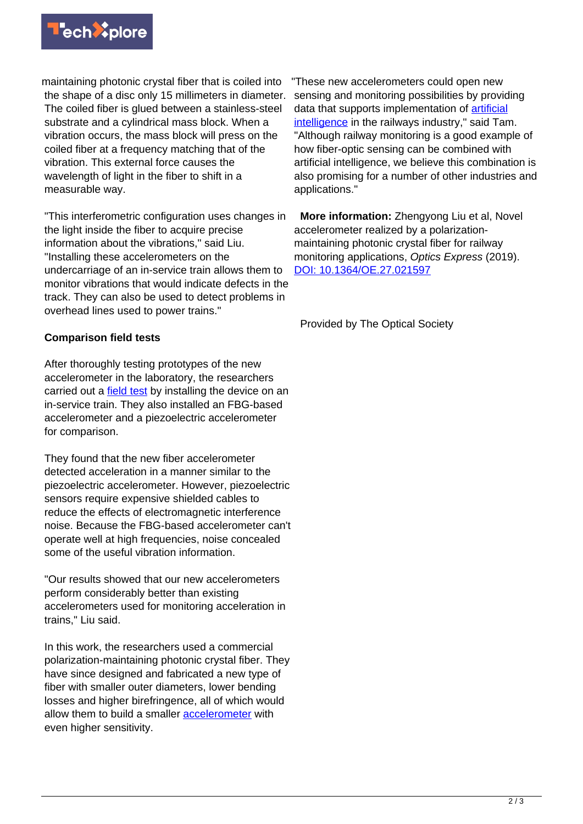

maintaining photonic crystal fiber that is coiled into the shape of a disc only 15 millimeters in diameter. The coiled fiber is glued between a stainless-steel substrate and a cylindrical mass block. When a vibration occurs, the mass block will press on the coiled fiber at a frequency matching that of the vibration. This external force causes the wavelength of light in the fiber to shift in a measurable way.

"This interferometric configuration uses changes in the light inside the fiber to acquire precise information about the vibrations," said Liu. "Installing these accelerometers on the undercarriage of an in-service train allows them to monitor vibrations that would indicate defects in the track. They can also be used to detect problems in overhead lines used to power trains."

## **Comparison field tests**

After thoroughly testing prototypes of the new accelerometer in the laboratory, the researchers carried out a [field test](https://techxplore.com/tags/field+test/) by installing the device on an in-service train. They also installed an FBG-based accelerometer and a piezoelectric accelerometer for comparison.

They found that the new fiber accelerometer detected acceleration in a manner similar to the piezoelectric accelerometer. However, piezoelectric sensors require expensive shielded cables to reduce the effects of electromagnetic interference noise. Because the FBG-based accelerometer can't operate well at high frequencies, noise concealed some of the useful vibration information.

"Our results showed that our new accelerometers perform considerably better than existing accelerometers used for monitoring acceleration in trains," Liu said.

In this work, the researchers used a commercial polarization-maintaining photonic crystal fiber. They have since designed and fabricated a new type of fiber with smaller outer diameters, lower bending losses and higher birefringence, all of which would allow them to build a smaller [accelerometer](https://techxplore.com/tags/accelerometer/) with even higher sensitivity.

"These new accelerometers could open new sensing and monitoring possibilities by providing data that supports implementation of [artificial](https://techxplore.com/tags/artificial+intelligence/) [intelligence](https://techxplore.com/tags/artificial+intelligence/) in the railways industry," said Tam. "Although railway monitoring is a good example of how fiber-optic sensing can be combined with artificial intelligence, we believe this combination is also promising for a number of other industries and applications."

 **More information:** Zhengyong Liu et al, Novel accelerometer realized by a polarizationmaintaining photonic crystal fiber for railway monitoring applications, Optics Express (2019). [DOI: 10.1364/OE.27.021597](http://dx.doi.org/10.1364/OE.27.021597)

Provided by The Optical Society